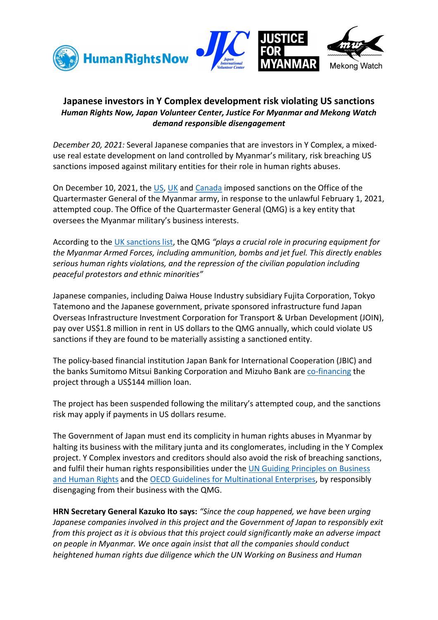

## Japanese investors in Y Complex development risk violating US sanctions Human Rights Now, Japan Volunteer Center, Justice For Myanmar and Mekong Watch demand responsible disengagement

December 20, 2021: Several Japanese companies that are investors in Y Complex, a mixeduse real estate development on land controlled by Myanmar's military, risk breaching US sanctions imposed against military entities for their role in human rights abuses.

On December 10, 2021, the US, UK and Canada imposed sanctions on the Office of the Quartermaster General of the Myanmar army, in response to the unlawful February 1, 2021, attempted coup. The Office of the Quartermaster General (QMG) is a key entity that oversees the Myanmar military's business interests.

According to the UK sanctions list, the QMG "plays a crucial role in procuring equipment for the Myanmar Armed Forces, including ammunition, bombs and jet fuel. This directly enables serious human rights violations, and the repression of the civilian population including peaceful protestors and ethnic minorities"

Japanese companies, including Daiwa House Industry subsidiary Fujita Corporation, Tokyo Tatemono and the Japanese government, private sponsored infrastructure fund Japan Overseas Infrastructure Investment Corporation for Transport & Urban Development (JOIN), pay over US\$1.8 million in rent in US dollars to the QMG annually, which could violate US sanctions if they are found to be materially assisting a sanctioned entity.

The policy-based financial institution Japan Bank for International Cooperation (JBIC) and the banks Sumitomo Mitsui Banking Corporation and Mizuho Bank are co-financing the project through a US\$144 million loan.

The project has been suspended following the military's attempted coup, and the sanctions risk may apply if payments in US dollars resume.

The Government of Japan must end its complicity in human rights abuses in Myanmar by halting its business with the military junta and its conglomerates, including in the Y Complex project. Y Complex investors and creditors should also avoid the risk of breaching sanctions, and fulfil their human rights responsibilities under the UN Guiding Principles on Business and Human Rights and the OECD Guidelines for Multinational Enterprises, by responsibly disengaging from their business with the QMG.

HRN Secretary General Kazuko Ito says: "Since the coup happened, we have been urging Japanese companies involved in this project and the Government of Japan to responsibly exit from this project as it is obvious that this project could significantly make an adverse impact on people in Myanmar. We once again insist that all the companies should conduct heightened human rights due diligence which the UN Working on Business and Human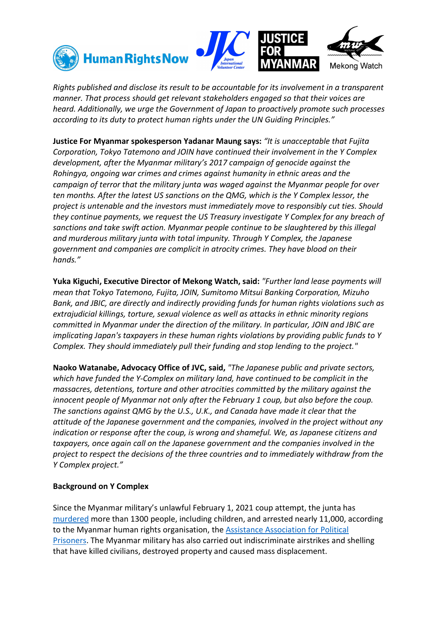





Rights published and disclose its result to be accountable for its involvement in a transparent manner. That process should get relevant stakeholders engaged so that their voices are heard. Additionally, we urge the Government of Japan to proactively promote such processes according to its duty to protect human rights under the UN Guiding Principles."

Justice For Myanmar spokesperson Yadanar Maung says: "It is unacceptable that Fujita Corporation, Tokyo Tatemono and JOIN have continued their involvement in the Y Complex development, after the Myanmar military's 2017 campaign of genocide against the Rohingya, ongoing war crimes and crimes against humanity in ethnic areas and the campaign of terror that the military junta was waged against the Myanmar people for over ten months. After the latest US sanctions on the QMG, which is the Y Complex lessor, the project is untenable and the investors must immediately move to responsibly cut ties. Should they continue payments, we request the US Treasury investigate Y Complex for any breach of sanctions and take swift action. Myanmar people continue to be slaughtered by this illegal and murderous military junta with total impunity. Through Y Complex, the Japanese government and companies are complicit in atrocity crimes. They have blood on their hands."

Yuka Kiguchi, Executive Director of Mekong Watch, said: "Further land lease payments will mean that Tokyo Tatemono, Fujita, JOIN, Sumitomo Mitsui Banking Corporation, Mizuho Bank, and JBIC, are directly and indirectly providing funds for human rights violations such as extrajudicial killings, torture, sexual violence as well as attacks in ethnic minority regions committed in Myanmar under the direction of the military. In particular, JOIN and JBIC are implicating Japan's taxpayers in these human rights violations by providing public funds to Y Complex. They should immediately pull their funding and stop lending to the project."

Naoko Watanabe, Advocacy Office of JVC, said, "The Japanese public and private sectors, which have funded the Y-Complex on military land, have continued to be complicit in the massacres, detentions, torture and other atrocities committed by the military against the innocent people of Myanmar not only after the February 1 coup, but also before the coup. The sanctions against QMG by the U.S., U.K., and Canada have made it clear that the attitude of the Japanese government and the companies, involved in the project without any indication or response after the coup, is wrong and shameful. We, as Japanese citizens and taxpayers, once again call on the Japanese government and the companies involved in the project to respect the decisions of the three countries and to immediately withdraw from the Y Complex project."

## Background on Y Complex

Since the Myanmar military's unlawful February 1, 2021 coup attempt, the junta has murdered more than 1300 people, including children, and arrested nearly 11,000, according to the Myanmar human rights organisation, the Assistance Association for Political Prisoners. The Myanmar military has also carried out indiscriminate airstrikes and shelling that have killed civilians, destroyed property and caused mass displacement.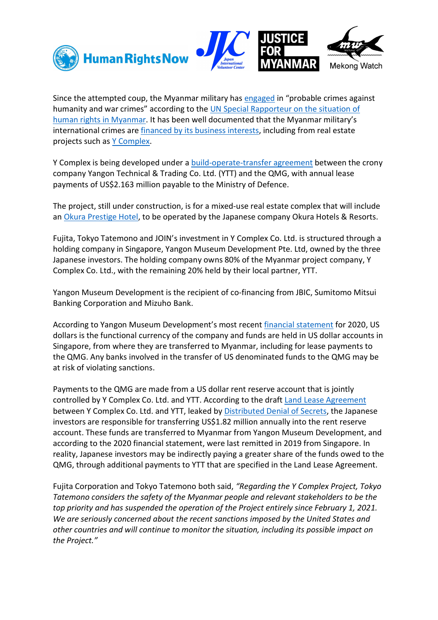



Since the attempted coup, the Myanmar military has engaged in "probable crimes against humanity and war crimes" according to the UN Special Rapporteur on the situation of human rights in Myanmar. It has been well documented that the Myanmar military's international crimes are *financed by its business interests*, including from real estate projects such as Y Complex.

Y Complex is being developed under a build-operate-transfer agreement between the crony company Yangon Technical & Trading Co. Ltd. (YTT) and the QMG, with annual lease payments of US\$2.163 million payable to the Ministry of Defence.

The project, still under construction, is for a mixed-use real estate complex that will include an Okura Prestige Hotel, to be operated by the Japanese company Okura Hotels & Resorts.

Fujita, Tokyo Tatemono and JOIN's investment in Y Complex Co. Ltd. is structured through a holding company in Singapore, Yangon Museum Development Pte. Ltd, owned by the three Japanese investors. The holding company owns 80% of the Myanmar project company, Y Complex Co. Ltd., with the remaining 20% held by their local partner, YTT.

Yangon Museum Development is the recipient of co-financing from JBIC, Sumitomo Mitsui Banking Corporation and Mizuho Bank.

According to Yangon Museum Development's most recent financial statement for 2020, US dollars is the functional currency of the company and funds are held in US dollar accounts in Singapore, from where they are transferred to Myanmar, including for lease payments to the QMG. Any banks involved in the transfer of US denominated funds to the QMG may be at risk of violating sanctions.

Payments to the QMG are made from a US dollar rent reserve account that is jointly controlled by Y Complex Co. Ltd. and YTT. According to the draft Land Lease Agreement between Y Complex Co. Ltd. and YTT, leaked by Distributed Denial of Secrets, the Japanese investors are responsible for transferring US\$1.82 million annually into the rent reserve account. These funds are transferred to Myanmar from Yangon Museum Development, and according to the 2020 financial statement, were last remitted in 2019 from Singapore. In reality, Japanese investors may be indirectly paying a greater share of the funds owed to the QMG, through additional payments to YTT that are specified in the Land Lease Agreement.

Fujita Corporation and Tokyo Tatemono both said, "Regarding the Y Complex Project, Tokyo Tatemono considers the safety of the Myanmar people and relevant stakeholders to be the top priority and has suspended the operation of the Project entirely since February 1, 2021. We are seriously concerned about the recent sanctions imposed by the United States and other countries and will continue to monitor the situation, including its possible impact on the Project."